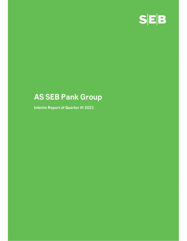

# AS SEB Pank Group

Interim Report of Quarter III 2021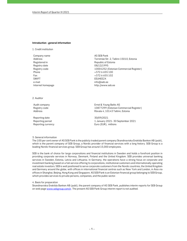#### Introduction - general information

1. Credit institution

Company name AS SEB Pank Registered in **Republic of Estonia** Registry date 08/12/1995 Phone  $+3726655100$ Fax  $+3726655102$ SWIFT EEUHEE2X e-mail info@seb.ee Internet homepage http://www.seb.ee

Address Tornimäe Str. 2, Tallinn 15010, Estonia Registry code 10004252 (Estonian Commercial Register)

2. Auditor

Reporting date 30/09/2021

Audit company **Audit company Ernst & Young Baltic AS** Registry code 10877299 (Estonian Commercial Register) Address **Address** Rävala 4, 10143 Tallinn, Estonia

Reporting period 1 January 2021- 30 September 2021 Reporting currency **EUR**), millions

#### 3. General information

The 100 per cent owner of AS SEB Pank is the publicly traded parent company Skandinaviska Enskilda Banken AB (publ), which is the parent company of SEB Group, a Nordic provider of financial services with a long history. SEB Group is a leading Nordic financial services group. SEB Group has around 15,000 employees.

SEB is the bank of choice for large corporations and financial institutions in Sweden and holds a forefront position in providing corporate services in Norway, Denmark, Finland and the United Kingdom. SEB provides universal banking services in Sweden, Estonia, Latvia and Lithuania. In Germany, the operations have a strong focus on corporate and investment banking based on a full-service offering to corporations, institutional customers and internationally operating real estate investors. SEB is well positioned to serve corporate customers from the Nordic countries, the United Kingdom and Germany around the globe, with offices in international financial centres such as New York and London, in Asia via offices in Shanghai, Beijing, Hong Kong and Singapore. AS SEB Pank is an Estonian financial group belonging to SEB Group, which provides services to private persons, companies, and the public sector.

### 4. Basis for preparation

Skandinaviska Enskilda Banken AB (publ), the parent company of AS SEB Pank, publishes interim reports for SEB Group on web page www.sebgroup.com/ir. The present AS SEB Pank Group interim report is not audited.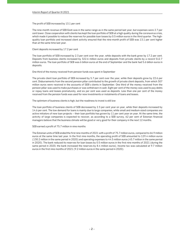The profit of SEB increased by 13.1 per cent

The nine-month revenue of SEB Eesti was in the same range as in the same period last year, but expenses were 2.7 per cent lower. Close cooperation with clients has kept the loan portfolio of SEB at a high quality during the coronavirus crisis, which made it possible to reduce the reserves for possible loan losses by 0.5 million euros in the third quarter. The highquality loan portfolio and increased client activity ensured that the nine-month profit of SEB was 13.1 per cent higher than at the same time last year.

Client deposits increased by 17.2 per cent

The loan portfolio of SEB increased by 2.3 per cent over the year, while deposits with the bank grew by 17.2 per cent. Deposits from business clients increased by 322.6 million euros and deposits from private clients by a record 512.7 million euros. The loan portfolio of SEB was 6 billion euros at the end of September and the bank had 5.6 billion euros in deposits.

One third of the money received from pension funds was spent in September

The private client loan portfolio of SEB increased by 5.7 per cent over the year, while their deposits grew by 22.6 per cent. Disbursements from the second pension pillar contributed to the growth of private client deposits, from which 307 million euros were received in the accounts of SEB's clients in September. One third of the money received from the pension pillar was used to make purchases or was withdrawn in cash. Eight per cent of the money was used to pay debts or repay loans and leases prematurely, and six per cent was used as deposits. Less than one per cent of the money received from the pension funds was used for new investments or instalments of loans and leases.

The optimism of business clients is high, but the readiness to invest is still low

The loan portfolio of business clients of SEB decreased by 2.3 per cent year on year, while their deposits increased by 14.6 per cent. The low demand for loans is mainly due to large companies, while small and medium-sized companies are active initiators of new loan projects – their loan portfolio has grown by 11 per cent year on year. At the same time, the activity of large companies is expected to recover, as according to a SEB survey, 62 per cent of Estonian financial managers believe that the business climate will be good or very good for their company in the next 12 months.

SEB earned a profit of 75.7 million in nine months

The Estonian units of SEB ended the first nine months of 2021 with a profit of 75.7 million euros, compared to 66.9 million euros at the same time last year. In the first nine months, the operating profit of SEB amounted to 129.4 million euros (130.2 million in the same period in 2020) and operating expenses to 44.5 million euros (45.7 million in the same period in 2020). The bank reduced its reserves for loan losses by 0.5 million euros in the first nine months of 2021 (during the same period in 2020, the bank increased the reserves by 8.4 million euros). Income tax was calculated at 9.7 million euros in the first nine months of 2021 (9.2 million euros in the same period in 2020).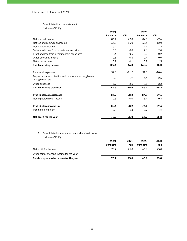# 1. Consolidated income statement

| Interim Report of Quarter III 2021                                             |            |            |            |            |
|--------------------------------------------------------------------------------|------------|------------|------------|------------|
|                                                                                |            |            |            |            |
| Consolidated income statement<br>1.                                            |            |            |            |            |
| (millions of EUR)                                                              |            |            |            |            |
|                                                                                | 2021       |            | 2020       |            |
|                                                                                | 9 months   | QIII       | 9 months   | QIII       |
| Net interest income                                                            | 86.1       | 29.0       | 87.6       | 29.4       |
| Net fee and commission income                                                  | 36.8       | 13.0       | 35.3       | 12.0       |
| Net financial income                                                           | 6.4        | 1.7        | 4.1        | 1.3        |
| Gains less losses from investment securities                                   | 0.0<br>0.4 | 0.0<br>0.4 | 2.6<br>0.2 | 2.0<br>0.2 |
| Profit and loss from investments in associates<br>Other operating income       | $-0.3$     | $-0.3$     | 0.4        | 0.0        |
| Net other income                                                               | 0.1        | 0.1        | 3.2        | 2.3        |
| <b>Total operating income</b>                                                  | 129.4      | 43.8       | 130.2      | 45.0       |
|                                                                                |            |            |            |            |
| Personnel expenses                                                             | $-32.8$    | $-11.2$    | $-31.8$    | $-10.6$    |
| Depreciation, amortization and impairment of tangible and<br>intangible assets | $-5.8$     | $-1.9$     | $-6.4$     | $-2.5$     |
| Other expenses                                                                 | $-5.9$     | $-2.5$     | $-7.5$     | $-2.2$     |
| <b>Total operating expenses</b>                                                | $-44.5$    | $-15.6$    | $-45.7$    | $-15.3$    |
| Profit before credit losses                                                    | 84.9       | 28.2       | 84.5       | 29.6       |
| Net expected credit losses                                                     | 0.5        | 0.0        | $-8.4$     | $-0.3$     |
| Profit before income tax                                                       | 85.4       | 28.2       | 76.1       | 29.3       |
| Income tax expense                                                             | $-9.7$     | $-3.2$     | $-9.2$     | $-3.5$     |
| Net profit for the year                                                        | 75.7       | 25.0       | 66.9       | 25.8       |
|                                                                                |            |            |            |            |
|                                                                                |            |            |            |            |
| Consolidated statement of comprehensive income<br>2.<br>(millions of EUR)      |            |            |            |            |
|                                                                                | 2021       | 2021       | 2020       | 2020       |
|                                                                                | 9 months   | QIII       | 9 months   | QIII       |
| Net profit for the year                                                        | 75.7       | 25.0       | 66.9       | 25.8       |
| Other comprehensive income for the year                                        |            |            |            |            |
|                                                                                |            |            |            |            |

## 2. Consolidated statement of comprehensive income (millions of EUR)

| Profit before income tax                                                  | 85.4                     | 28.2                     | 76.1                     | 29.3   |
|---------------------------------------------------------------------------|--------------------------|--------------------------|--------------------------|--------|
| Income tax expense                                                        | $-9.7$                   | $-3.2$                   | $-9.2$                   | $-3.5$ |
| Net profit for the year                                                   | 75.7                     | 25.0                     | 66.9                     | 25.8   |
|                                                                           |                          |                          |                          |        |
| 2.<br>Consolidated statement of comprehensive income<br>(millions of EUR) |                          |                          |                          |        |
|                                                                           | 2021                     | 2021                     | 2020                     | 2020   |
|                                                                           | 9 months                 | QIII                     | 9 months                 | QIII   |
| Net profit for the year                                                   | 75.7                     | 25.0                     | 66.9                     | 25.8   |
| Other comprehensive income for the year                                   | $\overline{\phantom{a}}$ | $\overline{\phantom{a}}$ | $\overline{\phantom{a}}$ |        |
| Total comprehensive income for the year                                   | 75.7                     | 25.0                     | 66.9                     | 25.8   |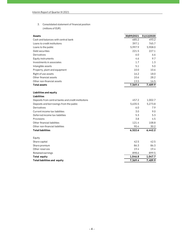| Interim Report of Quarter III 2021                  |            |            |
|-----------------------------------------------------|------------|------------|
|                                                     |            |            |
|                                                     |            |            |
| 3.<br>Consolidated statement of financial position  |            |            |
| (millions of EUR)                                   |            |            |
| Assets                                              | 30/09/2021 | 31/12/2020 |
| Cash and balances with central bank                 | 685.2      | 493.2      |
| Loans to credit institutions                        | 397.1      | 765.7      |
| Loans to the public                                 | 5,997.9    | 5,908.0    |
| Debt securities                                     | 221.5      | 227.1      |
| Derivatives                                         | 6.0        | 6.6        |
| Equity instruments                                  | 4.6        | 9.7        |
| Investments in associates                           | 1.7        | 1.3        |
| Intangible assets                                   | 5.1        | 5.0        |
| Property, plant and equipment                       | 10.0       | 10.6       |
| Right of use assets                                 | 16.2       | 18.0       |
| Other financial assets                              | 10.6       | 28.2       |
| Other non-financial assets                          | 13.5       | 16.5       |
| <b>Total assets</b>                                 | 7,369.4    | 7,489.9    |
| Liabilities and equity                              |            |            |
| Liabilities                                         |            |            |
| Deposits from central banks and credit institutions | 457.2      | 1,002.7    |
| Deposits and borrowings from the public             | 5,635.5    | 5,273.8    |
| Derivatives                                         | 6.0        | 7.9        |
| Current income tax liabilities                      | 3.0        | 9.0        |
| Deferred income tax liabilities                     | 5.3        | 5.3        |
| Provisions                                          | 3.8        | 4.5        |
| Other financial liabilities                         | 121.4      | 108.8      |
| Other non-financial liabilities                     | 90.4       | 30.2       |
| <b>Total liabilities</b>                            | 6,322.6    | 6,442.2    |
| Equity                                              |            |            |
| Share capital                                       | 42.5       | 42.5       |
| Share premium                                       | 86.3       | 86.3       |
| Other reserves                                      | 19.4       | 19.4       |
| Retained earnings                                   | 898.6      | 899.5      |
| <b>Total equity</b>                                 | 1,046.8    | 1,047.7    |
| Total liabilities and equity                        | 7,369.4    | 7,489.9    |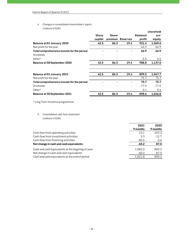| Interim Report of Quarter III 2021                 |                          |                |                          |                 |           |
|----------------------------------------------------|--------------------------|----------------|--------------------------|-----------------|-----------|
| Changes in consolidated shareholders' equity<br>4. |                          |                |                          |                 |           |
| (millions of EUR)                                  |                          |                |                          |                 |           |
|                                                    |                          |                |                          |                 | sharehold |
|                                                    | <b>Share</b>             | <b>Share</b>   |                          | <b>Retained</b> | ers'      |
|                                                    | capital                  |                | premium Reserves         | profit          | equity    |
| Balance at 01 January 2020                         | 42.5                     | 86.3           | 19.4                     | 921.4           | 1,069.6   |
| Net profit for the year                            | ä,                       |                |                          | 66.9            | 66.9      |
| Total comprehensive income for the period          |                          |                |                          | 66.9            | 66.9      |
| <b>Dividends</b>                                   |                          |                |                          |                 |           |
| Other*                                             |                          |                |                          | 0.5             | 0.5       |
| Balance at 30 September 2020                       | 42.5                     | 86.3           | 19.4                     | 988.8           | 1,137.0   |
| Balance at 01 January 2021                         | 42.5                     | 86.3           | 19.4                     | 899.5           | 1,047.7   |
| Net profit for the year                            | $\overline{\phantom{a}}$ | $\blacksquare$ | $\overline{\phantom{a}}$ | 75.7            | 75.7      |
| Total comprehensive income for the period          |                          |                |                          | 75.7            | 75.7      |
| <b>Dividends</b>                                   |                          |                |                          | $-77.0$         | $-77.0$   |
| Other*                                             |                          |                |                          | 0.4             | 0.4       |
| Balance at 30 September 2021                       | 42.5                     | 86.3           | 19.4                     | 898.6           | 1,046.8   |

| Other*                                                      |      |      |      | 0.4              | 0.4              |
|-------------------------------------------------------------|------|------|------|------------------|------------------|
| Balance at 30 September 2021                                | 42.5 | 86.3 | 19.4 | 898.6            | 1,046.8          |
| * Long Term Incentive programmes                            |      |      |      |                  |                  |
| 5.<br>Consolidated cash flow statement<br>(millions of EUR) |      |      |      |                  |                  |
|                                                             |      |      |      | 2021<br>9 months | 2020<br>9 months |
| Cash flow from operating activities                         |      |      |      | 15.1             | 103.3            |
| Cash flow from investment activities                        |      |      |      | 5.3              | $-12.7$          |
| Cash flow from financing activities                         |      |      |      | $-80.6$          | $-3.6$           |
| Net change in cash and cash equivalents                     |      |      |      | $-60.2$          | 87.0             |
| Cash and cash equivalents at the beginnig of year           |      |      |      | 1,082.0          | 803.2            |
| Net change in cash and cash equivalents                     |      |      |      | $-60.2$          | 87.0             |
| Cash and cash equivalents at the end of period              |      |      |      | 1,021.8          | 890.2            |